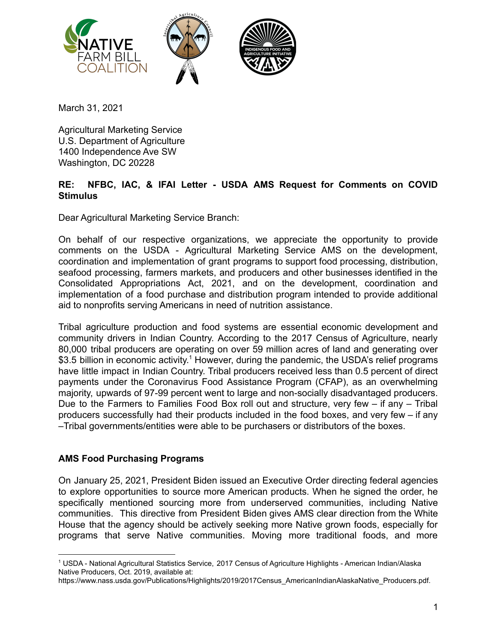

March 31, 2021

Agricultural Marketing Service U.S. Department of Agriculture 1400 Independence Ave SW Washington, DC 20228

## **RE: NFBC, IAC, & IFAI Letter - USDA AMS Request for Comments on COVID Stimulus**

Dear Agricultural Marketing Service Branch:

On behalf of our respective organizations, we appreciate the opportunity to provide comments on the USDA - Agricultural Marketing Service AMS on the development, coordination and implementation of grant programs to support food processing, distribution, seafood processing, farmers markets, and producers and other businesses identified in the Consolidated Appropriations Act, 2021, and on the development, coordination and implementation of a food purchase and distribution program intended to provide additional aid to nonprofits serving Americans in need of nutrition assistance.

Tribal agriculture production and food systems are essential economic development and community drivers in Indian Country. According to the 2017 Census of Agriculture, nearly 80,000 tribal producers are operating on over 59 million acres of land and generating over \$3.5 billion in economic activity.<sup>1</sup> However, during the pandemic, the USDA's relief programs have little impact in Indian Country. Tribal producers received less than 0.5 percent of direct payments under the Coronavirus Food Assistance Program (CFAP), as an overwhelming majority, upwards of 97-99 percent went to large and non-socially disadvantaged producers. Due to the Farmers to Families Food Box roll out and structure, very few – if any – Tribal producers successfully had their products included in the food boxes, and very few – if any –Tribal governments/entities were able to be purchasers or distributors of the boxes.

## **AMS Food Purchasing Programs**

On January 25, 2021, President Biden issued an Executive Order directing federal agencies to explore opportunities to source more American products. When he signed the order, he specifically mentioned sourcing more from underserved communities, including Native communities. This directive from President Biden gives AMS clear direction from the White House that the agency should be actively seeking more Native grown foods, especially for programs that serve Native communities. Moving more traditional foods, and more

<sup>1</sup> USDA - National Agricultural Statistics Service, 2017 Census of Agriculture Highlights - American Indian/Alaska Native Producers, Oct. 2019, available at:

https://www.nass.usda.gov/Publications/Highlights/2019/2017Census\_AmericanIndianAlaskaNative\_Producers.pdf.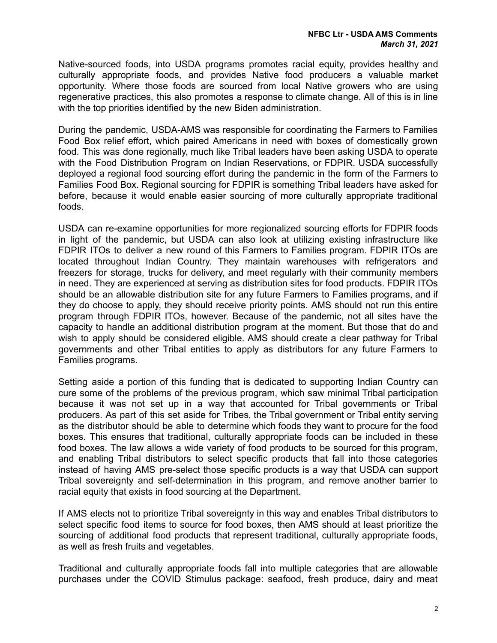Native-sourced foods, into USDA programs promotes racial equity, provides healthy and culturally appropriate foods, and provides Native food producers a valuable market opportunity. Where those foods are sourced from local Native growers who are using regenerative practices, this also promotes a response to climate change. All of this is in line with the top priorities identified by the new Biden administration.

During the pandemic, USDA-AMS was responsible for coordinating the Farmers to Families Food Box relief effort, which paired Americans in need with boxes of domestically grown food. This was done regionally, much like Tribal leaders have been asking USDA to operate with the Food Distribution Program on Indian Reservations, or FDPIR. USDA successfully deployed a regional food sourcing effort during the pandemic in the form of the Farmers to Families Food Box. Regional sourcing for FDPIR is something Tribal leaders have asked for before, because it would enable easier sourcing of more culturally appropriate traditional foods.

USDA can re-examine opportunities for more regionalized sourcing efforts for FDPIR foods in light of the pandemic, but USDA can also look at utilizing existing infrastructure like FDPIR ITOs to deliver a new round of this Farmers to Families program. FDPIR ITOs are located throughout Indian Country. They maintain warehouses with refrigerators and freezers for storage, trucks for delivery, and meet regularly with their community members in need. They are experienced at serving as distribution sites for food products. FDPIR ITOs should be an allowable distribution site for any future Farmers to Families programs, and if they do choose to apply, they should receive priority points. AMS should not run this entire program through FDPIR ITOs, however. Because of the pandemic, not all sites have the capacity to handle an additional distribution program at the moment. But those that do and wish to apply should be considered eligible. AMS should create a clear pathway for Tribal governments and other Tribal entities to apply as distributors for any future Farmers to Families programs.

Setting aside a portion of this funding that is dedicated to supporting Indian Country can cure some of the problems of the previous program, which saw minimal Tribal participation because it was not set up in a way that accounted for Tribal governments or Tribal producers. As part of this set aside for Tribes, the Tribal government or Tribal entity serving as the distributor should be able to determine which foods they want to procure for the food boxes. This ensures that traditional, culturally appropriate foods can be included in these food boxes. The law allows a wide variety of food products to be sourced for this program, and enabling Tribal distributors to select specific products that fall into those categories instead of having AMS pre-select those specific products is a way that USDA can support Tribal sovereignty and self-determination in this program, and remove another barrier to racial equity that exists in food sourcing at the Department.

If AMS elects not to prioritize Tribal sovereignty in this way and enables Tribal distributors to select specific food items to source for food boxes, then AMS should at least prioritize the sourcing of additional food products that represent traditional, culturally appropriate foods, as well as fresh fruits and vegetables.

Traditional and culturally appropriate foods fall into multiple categories that are allowable purchases under the COVID Stimulus package: seafood, fresh produce, dairy and meat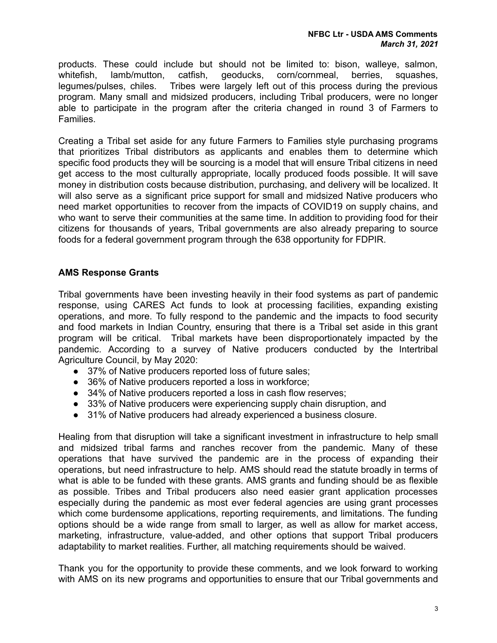products. These could include but should not be limited to: bison, walleye, salmon, whitefish, lamb/mutton, catfish, geoducks, corn/cornmeal, berries, squashes, legumes/pulses, chiles. Tribes were largely left out of this process during the previous program. Many small and midsized producers, including Tribal producers, were no longer able to participate in the program after the criteria changed in round 3 of Farmers to Families.

Creating a Tribal set aside for any future Farmers to Families style purchasing programs that prioritizes Tribal distributors as applicants and enables them to determine which specific food products they will be sourcing is a model that will ensure Tribal citizens in need get access to the most culturally appropriate, locally produced foods possible. It will save money in distribution costs because distribution, purchasing, and delivery will be localized. It will also serve as a significant price support for small and midsized Native producers who need market opportunities to recover from the impacts of COVID19 on supply chains, and who want to serve their communities at the same time. In addition to providing food for their citizens for thousands of years, Tribal governments are also already preparing to source foods for a federal government program through the 638 opportunity for FDPIR.

## **AMS Response Grants**

Tribal governments have been investing heavily in their food systems as part of pandemic response, using CARES Act funds to look at processing facilities, expanding existing operations, and more. To fully respond to the pandemic and the impacts to food security and food markets in Indian Country, ensuring that there is a Tribal set aside in this grant program will be critical. Tribal markets have been disproportionately impacted by the pandemic. According to a survey of Native producers conducted by the Intertribal Agriculture Council, by May 2020:

- 37% of Native producers reported loss of future sales;
- 36% of Native producers reported a loss in workforce;
- 34% of Native producers reported a loss in cash flow reserves;
- 33% of Native producers were experiencing supply chain disruption, and
- 31% of Native producers had already experienced a business closure.

Healing from that disruption will take a significant investment in infrastructure to help small and midsized tribal farms and ranches recover from the pandemic. Many of these operations that have survived the pandemic are in the process of expanding their operations, but need infrastructure to help. AMS should read the statute broadly in terms of what is able to be funded with these grants. AMS grants and funding should be as flexible as possible. Tribes and Tribal producers also need easier grant application processes especially during the pandemic as most ever federal agencies are using grant processes which come burdensome applications, reporting requirements, and limitations. The funding options should be a wide range from small to larger, as well as allow for market access, marketing, infrastructure, value-added, and other options that support Tribal producers adaptability to market realities. Further, all matching requirements should be waived.

Thank you for the opportunity to provide these comments, and we look forward to working with AMS on its new programs and opportunities to ensure that our Tribal governments and